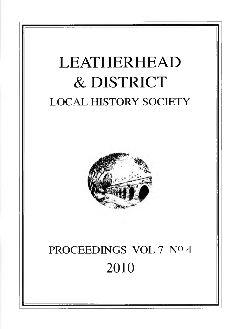# LEATHERHEAD & DISTRICT LOCAL HISTORY SOCIETY



## PROCEEDINGS VOL 7 No 4 2010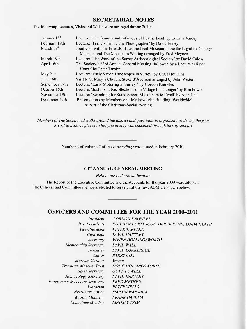#### **SECRETARIAL NOTES**

The following Lectures, Visits and Walks were arranged during 2010:

| January 15 <sup>th</sup> | Lecture: 'The famous and Infamous of Leatherhead' by Edwina Vardey                                                                         |
|--------------------------|--------------------------------------------------------------------------------------------------------------------------------------------|
| February 19th            | Lecture: 'Francis Frith : The Photographer' by David Edney                                                                                 |
| March $17th$             | Joint visit with the Friends of Leatherhead Museum to the the Lightbox Gallery/<br>Museum and The Mosque in Woking arranged by Fred Meynen |
| March 19th               | Lecture: 'The Work of the Surrey Archaeological Society' by David Calow                                                                    |
| April 16th               | The Society's 63rd Annual General Meeting, followed by a Lecture 'Milner'<br>House' by Peter Tarplee                                       |
| May 21st                 | Lecture: 'Early Saxon Landscapes in Surrey' by Chris Howkins                                                                               |
| June 16th                | Visit to St Mary's Church, Stoke d'Abernon arranged by John Wettern                                                                        |
| September 17th           | Lecture: 'Early Motoring in Surrey ' by Gordon Knowles                                                                                     |
| October 15th             | Lecture: 'Just Fish : Recollections of a Village Fishmonger' by Ron Fowler                                                                 |
| November 19th            | Lecture: 'Searching for Stane Street: Mickleham to Ewell' by Alan Hall                                                                     |
| December 17th            | Presentations by Members on 'My Favourite Building: Worldwide'                                                                             |
|                          | as part of the Christmas Social evening                                                                                                    |

*Members of The Society led walks around the district and gave talks to organisations during the year. A visit to historic places in Reigate in July was cancelled through lack of support* 

Number 3 of Volume 7 of the *Proceedings* was issued in February 2010.

#### 63rd ANNUAL GENERAL MEETING

*Held at the Letherhead Institute*

The Report of the Executive Committee and the Accounts for the year 2009 were adopted. The Oflicers and Committee members elected to serve until the next AGM are shown below.

#### **OFFICERS AND COMMITTEE FOR THE YEAR 2010-2011**

| President                     | <b>GORDON KNOWLES</b>                      |
|-------------------------------|--------------------------------------------|
| <b>Past Presidents</b>        | STEPHEN FORTESCUE, DEREK RENN, LINDA HEATH |
| Vice-President                | <b>PETER TARPLEE</b>                       |
| Chairman                      | DAVID HARTLEY                              |
| Secretary                     | VIVIEN HOLLINGSWORTH                       |
| Membership Secretary          | DAVID WALL                                 |
| <b>Treasurer</b>              | <b>DAVID LOKKERBOL</b>                     |
| Editor                        | <i>BARRY COX</i>                           |
| Museum Curator                | Vacant                                     |
| Treasurer, Museum Trust       | <b>DOUG HOLLINGSWORTH</b>                  |
| Sales Secretary               | <b>GOFF POWELL</b>                         |
| Archaeology Secretary         | DAVID HARTLEY                              |
| Programme & Lecture Secretary | <b>FRED MEYNEN</b>                         |
| Librarian                     | <b>PETER WELLS</b>                         |
| Newsletter Editor             | <b>MARTIN WARWICK</b>                      |
| Website Manager               | FRANK HASLAM                               |
| Committee Member              | LINDSAY TRIM                               |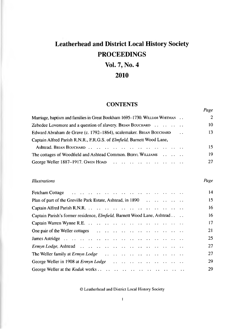## **Leatherhead and District Local History Society PROCEEDINGS**

## **Vol. 7, No. 4**

## **2010**

## **CONTENTS**

*Page*

| Marriage, baptism and families in Great Bookham 1695–1730. WILLIAM WHITMAN     |                      | $\overline{2}$ |
|--------------------------------------------------------------------------------|----------------------|----------------|
| Zebedee Lovemore and a question of slavery. BRIAN BOUCHARD                     |                      | 10             |
| Edward Abraham de Grave (c. 1792–1864), scalemaker. BRIAN BOUCHARD             | $\ddot{\phantom{a}}$ | 13             |
| Captain Alfred Parish R.N.R., F.R.G.S. of <i>Elmfield</i> , Barnett Wood Lane, |                      |                |
|                                                                                |                      | 15             |
| The cottages of Woodfield and Ashtead Common. BERYL WILLIAMS                   |                      | 19             |
|                                                                                |                      | 27             |
|                                                                                |                      |                |

#### *Illustrations Page*

| Fetcham Cottage $\cdots$ $\cdots$ $\cdots$ $\cdots$ $\cdots$ $\cdots$ $\cdots$ $\cdots$ $\cdots$ $\cdots$ | 14 |
|-----------------------------------------------------------------------------------------------------------|----|
| Plan of part of the Greville Park Estate, Ashtead, in 1890                                                | 15 |
|                                                                                                           | 16 |
| Captain Parish's former residence, <i>Elmfield</i> , Barnett Wood Lane, Ashtead                           | 16 |
|                                                                                                           | 17 |
| One pair of the Weller cottages $\cdots$ $\cdots$ $\cdots$ $\cdots$ $\cdots$ $\cdots$ $\cdots$ $\cdots$   | 21 |
|                                                                                                           | 25 |
|                                                                                                           | 27 |
|                                                                                                           | 27 |
|                                                                                                           | 29 |
|                                                                                                           | 29 |

© Leatherhead and District Local History Society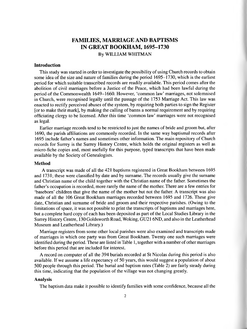## **FAMILIES, MARRIAGE AND BAPTISMS IN GREAT BOOKHAM, 1695-1730**

By WILLIAM WHITMAN

#### **Introduction**

This study was started in order to investigate the possibility of using Church records to obtain some idea of the size and nature of families during the period 1695-1730, which is the earliest period for which suitable transcribed records are readily available. This period comes after the abolition of civil marriages before a Justice of the Peace, which had been lawful during the period of the Commonwealth 1649-1660. However, 'common law' marriages, not solemnised in Church, were recognised legally until the passage of the 1753 Marriage Act. This law was enacted to rectify perceived abuses of the system, by requiring both parties to sign the Register [or to make their mark], by making the calling of banns a normal requirement and by requiring officiating clergy to be licensed. After this time 'common law' marriages were not recognised as legal.

Earlier marriage records tend to be restricted to just the names of bride and groom but, after 1690, the parish affiliations are commonly recorded. In the same way baptismal records after 1695 include father's names and sometimes other information. The main repository of Church records for Surrey is the Surrey History Centre, which holds the original registers as well as micro-fiche copies and, most usefully for this purpose, typed transcripts that have been made available by the Society of Genealogists.

#### **Method**

A transcript was made of all the 421 baptisms registered in Great Bookham between 1695 and 1731; these were classified by date and by surname. The records usually give the surname and Christian name of the child together with the Christian name of the father. Sometimes the father's occupation is recorded, more rarely the name of the mother. There are a few entries for 'baseborn' children that give the name of the mother but not the father. A transcript was also made of all the 106 Great Bookham marriages recorded between 1695 and 1726. These give date, Christian and surname of bride and groom and their respective parishes. (Owing to the limitations of space, it was not possible to print the transcripts of baptisms and marriages here, but a complete hard copy of each has been deposited as part of the Local Studies Library in the Surrey History Centre, 130 Goldsworth Road, Woking, GU21 6ND, and also in the Leatherhead Museum and Leatherhead Library.)

Marriage registers from some other local parishes were also examined and transcripts made of marriages in which one party was from Great Bookham. Twenty one such marriages were identified during the period. These are listed in Table 1, together with a number of other marriages before this period that are included for interest.

A record on computer of all the 394 burials recorded at St Nicolas during this period is also available. If we assume a life expectancy of 50 years, this would suggest a population of about 500 people through this period. The burial and baptism rates (Table 2) are fairly steady during this time, indicating that the population of the village was not changing greatly.

#### **Analysis**

The baptism data make it possible to identify families with some confidence, because all the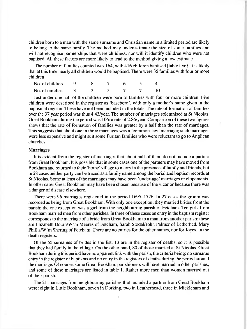children born to a man with the same surname and Christian name in a limited period are likely to belong to the same family. The method may underestimate the size of some families and will not recognise partnerships that were childless, nor will it identify children who were not baptised. All these factors are more likely to lead to the method giving a low estimate.

The number of families counted was 164, with 416 children baptised [table five]. It is likely that at this time nearly all children would be baptised. There were 35 families with four or more children.

| No. of children |  |  |  |
|-----------------|--|--|--|
| No. of families |  |  |  |

Just under one half of the children were bom to families with four or more children. Five children were described in the register as 'baseborn', with only a mother's name given in the baptismal register. These have not been included in the totals. The rate of formation of families over the 37 year period was thus 4.43/year. The number of marriages solemnised at St Nicolas, Great Bookham during the period was 106: a rate of 2.86/year. Comparison of these two figures shows that the rate of formation of families was greater by a half than the rate of marriages. This suggests that about one in three marriages was a 'common-law' marriage; such marriages were less expensive and might suit some Puritan families who were reluctant to go to Anglican churches.

#### **Marriages**

It is evident from the register of marriages that about half of them do not include a partner from Great Bookham. It is possible that in some cases one of the partners may have moved from Bookham and returned to their 'home' village to marry in the presence of family and friends, but in 28 cases neither party can be traced as a family name among the burial and baptism records at St Nicolas. Some at least of the marriages may have been 'under-age' marriages or elopements. In other cases Great Bookham may have been chosen because of the vicar or because there was a danger of disease elsewhere.

There were 96 marriages registered in the period 1695-1726. In 27 cases the groom was recorded as being from Great Bookham. With only one exception, they married brides from the parish; the one exception was a girl from the neighbouring parish of Fetcham. Ten girls from Bookham married men from other parishes. In three of these cases an entry in the baptism register corresponds to the marriage of a bride from Great Bookham to a man from another parish: these are Elizabeth Bourn/W'm Meeres of Fetcham, Sarah Stodal/John Palmer of Letherhed, Mary Phillis/W'm Shering of Fetcham. There are no entries for the other names, nor for Joyes, in the death registers.

Of the 55 surnames of brides in the list, 13 are in the register of deaths, so it is possible that they had family in the village. On the other hand, 80 of those married at St Nicolas, Great Bookham during this period have no apparent link with the parish, the criteria being: no surname entry in the register of baptisms and no entry in the registers of deaths during the period around the marriage. Of course, some Great Bookham parishioners will have married in other parishes, and some of these marriages are listed in table 1. Rather more men than women married out of their parish.

The 21 marriages from neighbouring parishes that included a partner from Great Bookham were: eight in Little Bookham, seven in Dorking, two in Leatherhead, three in Mickleham and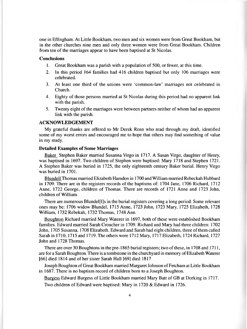one in Effingham. At Little Bookham, two men and six women were from Great Bookham, but in the other churches nine men and only three women were from Great Bookham. Children from ten of the marriages appear to have been baptised at St Nicolas.

#### **Conclusions**

- 1. Great Bookham was a parish with a population of 500, or fewer, at this time.
- 2. In this period 164 families had 416 children baptised but only 106 marriages were celebrated.
- 3. At least one third of the unions were 'common-law' marriages not celebrated in Church.
- 4. Eighty of those persons married at St Nicolas during this period had no apparent link with the parish.
- 5. Twenty eight of the marriages were between partners neither of whom had an apparent link with the parish.

#### **ACKNOWLEDGEMENT**

My grateful thanks are offered to Mr Derek Renn who read through my draft, identified some of my worst errors and encouraged me to hope that others may find something of value in my study.

#### **Detailed Examples of Some Marriages**

Baker Stephen Baker married Susanna Virgo in 1717. A Susan Virgo, daughter of Henry, was baptised in 1697. Two children of Stephen were baptised: Mary 1718 and Stephen 1721. A Stephen Baker was buried in 1725, the only eighteenth century Baker burial. Henry Virgo was buried in 1701.

Blundell Thomas married Elizabeth Hamdon in 1700 and William married Rebeckah Hubbard in 1709. There are in the registers records of the baptisms of: 1704 Jane, 1706 Richard, 1712 Anne, 1722 George, children of Thomas. There are records of 1721 Anne and 1723 John, children of William.

There are numerous Blundel[l]s in the burial registers covering a long period. Some relevant ones may be: 1706 widow Blundel, 1715 Anne, 1723 John, 1723 Mary, 1725 Elizabeth, 1728 William, 1732 Rebekah, 1732 Thomas, 1748 Ann.

Boughton Richard married Mary Waterer in 1697, both of these were established Bookham families. Edward married Sarah Croucher in 1709. Richard and Mary had three children: 1702 John, 1705 Susanna, 1708 Elizabeth. Edward and Sarah had eight children, three of them called Sarah in 1710, 1715 and 1719. The others were 1712 Mary, 1717 Elizabeth, 1724 Richard, 1727 John and 1728 Thomas.

There are over 30 Boughtons in the pre-1865 burial registers; two of these, in 1708 and 1711, are for a Sarah Boughton. There is a tombstone in the churchyard in memory of Elizabeth Waterer [66] died 1814 and of her sister Sarah Hall [69] died 1817

Joseph Boughton of Great Bookham married Margaret Johnson of Fetcham at Little Bookham in 1687. There is no baptism record of children bom to a Joseph Boughton.

Burgess Edward Burgess of Little Bookham married Mary Batt of GB at Dorking in 1717.

Two children of Edward were baptised: Mary in 1720 & Edward in 1726.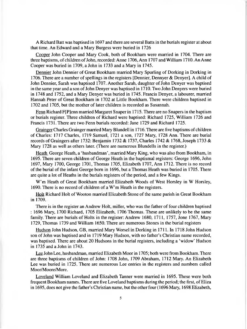A Richard Batt was baptised in 1697 and there are several Batts in the burials register at about that time. An Edward and a Mary Burgess were buried in 1726

Cooper John Cooper and Mary Cook, both of Bookham were married in 1704. There are three baptisms, of children of John, recorded: Anne 1706, Ann 1707 and William 1710. An Anne Cooper was buried in 1709, a John in 1733 and a Mary in 1745.

Dennier John Dennier of Great Bookham married Mary Spurling of Dorking in Dorking in 1706. There are a number of spellings in the registers [Dennier, Dennyer & Denyer]. A child of John Dennier, Sarah was baptised 1707. Another Sarah, daughter of John Denyer was baptised in the same year and a son of John Denyer was baptised in 1710. Two John Denyers were buried in 1748 and 1752, and a Mary Denyer was buried in 1745. Francis Denyer, a labourer, married Hannah Peter of Great Bookham in 1702 at Little Bookham. There were children baptised in 1702 and 1705, but the mother of later children is recorded as Susannah.

Fenn Richard F[P]enn married Margaret Snaper in 1715. There are no Snapers in the baptism or burials register. Three children of Richard were baptised: Richard 1725, William 1726 and Francis 1731. There are two Fenn burials recorded: Jane 1729 and Richard 1725.

Grainger Charles Grainger married Mary Blundell in 1716. There are five baptisms of children of Charles: 1717 Charles, 1719 Samuel, 1721 a son, 1727 Mary, 1728 Ann. There are burial records of Graingers after 1732: Benjamin 1732 & 1737, Charles 1742 & 1768, Joseph 1733 & Mary 1728 as well as others later. (There are numerous Blundells in the register.)

Heath George Heath, a 'husbandman', married Mary King, who was also from Bookham, in 1695. There are seven children of George Heath in the baptismal registers: George 1696, John 1697, Mary 1700, George 1701, Thomas 1705, Elizabeth 1707, Ann 1712. There is no record of the burial of the infant George bom in 1696, but a Thomas Heath was buried in 1705. There are quite a lot of Heaths in the burials registers of the period, and a few Kings.

W'm Heath of Great Bookham married Elizabeth Woods of West Horsley in W Horsley, 1690. There is no record of children of a W'm Heath in the registers.

Holt Richard Holt of Wooton married Elizabeth Stone of the same parish in Great Bookham in 1709.

There is in the register an Andrew Holt, miller, who was the father of four children baptised : 1696 Mary, 1700 Richard, 1705 Elizabeth, 1706 Thomas. These are unlikely to be the same family. There are burials of Holts in the register: Andrew 1680, 1711, 1757, Jone 1767, Mary 1729, Thomas 1739 and William 1650. There are numerous Stones in the burial registers

Hudson John Hudson, GB, married Mary Worsel in Dorking in 1711. In 1718 John Hudson son of John was baptised and in 1719 Mary Hudson, with no father's Christian name recorded, was baptised. There are about 20 Hudsons in the burial registers, including a 'widow' Hudson in 1735 and a John in 1743.

Lee John Lee, husbandman, married Elizabeth Moor in 1705; both were from Bookham. There are three baptisms of children of John: 1708 John, 1709 Abraham, 1712 Mary. An Elizabeth Lee was buried in 1725. There are numerous Lee entries in the registers and numbers called Moor/Moore/More.

Loveland William Loveland and Elizabeth Tanner were married in 1695. These were both frequent Bookham names. There are five Loveland baptisms during the period; the first, of Eliza in 1695, does not give the father's Christian name, but the other four (1696 Mary, 1698 Elizabeth,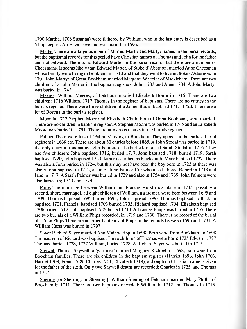1700 Martha, 1706 Susanna) were fathered by William, who in the last entry is described as a 'shopkeeper'. An Eliza Loveland was buried in 1696.

Matter There are a large number of Marter, Martir and Martyr names in the burial records, but the baptismal records for this period have Christian names of Thomas and John for the father and not Edward. There is no Edward Marter in the burial records but there are a number of Cheesmans. It seems likely that Edward Marter, of Stoke d'Abernon, married Anne Cheesman whose family were living in Bookham in 1713 and that they went to live in Stoke d'Abernon. In 1701 John Martyr of Great Bookham married Margaret Wheeler of Mickleham. There are two children of a John Marter in the baptism registers: John 1703 and Anne 1704. A John Martyr was buried in 1742.

Meeres William Meeres, of Fetcham, married Elizabeth Bourn in 1715. There are two children: 1716 William, 1717 Thomas in the register of baptisms. There are no entries in the burials register. There were three children of a James Bourn baptised 1717-1720. There are a lot of Bourns in the burials register.

Moor In 1717 Stephen Moor and Elizabeth Clark, both of Great Bookham, were married. There are no children in baptism register. A Stephen Moore was buried in 1745 and an Elizabeth Moore was buried in 1791. There are numerous Clarks in the burials register

Palmer There were lots of 'Palmers' living in Bookham. They appear in the earliest burial registers in 1639 etc. There are about 30 entries before 1865.AJohn Stodal was buried in 1719, the only entry in this name. John Palmer, of Letherhed, married Sarah Stodal in 1716. They had five children: John baptised 1716, buried 1717, John baptised 1718, buried 1719, Sarah baptised 1720, John baptised 1723, father described as blacksmith, Mary baptised 1727. There was also a John buried in 1724, but this may not have been the boy born in 1723 as there was also a John baptised in 1712, a son of John Palmer J'nr who also fathered Robert in 1713 and Jane in 1717. A Sarah Palmer was buried in 1729 and also in 1754 and 1769. John Palmers were also buried in; 1743 and 1774.

Phips The marriage between William and Frances Hurst took place in 1715 [possibly a second, short, marriage], all eight children of William, a gardiner, were bom between 1695 and 1709: Thomas baptised 1695 buried 1695, John baptised 1696, Thomas baptised 1700, John baptised 1701, Francis baptised 1703 buried 1703, Richard baptised 1704, Elizabeth baptised 1706 buried 1712, Job baptised 1709 buried 1710. A Frances Phups was buried in 1716. There are two burials of a William Phips recorded, in 1719 and 1730. There is no record of the burial of a John Phips There are no other baptisms of Phips in the records between 1695 and 1731. A William Hurst was buried in 1797.

Saver Richard Sayer married Ann Mainwaring in 1698. Both were from Bookham. In 1698 Thomas, son of Richard was baptised. Three children of Thomas were born: 1725 Edward, 1727 Thomas, buried 1728, 1727 William, buried 1728. A Richard Sayer was buried in 1715.

Saywell Thomas Saywell, a 'gardiner' married Margaret Richbell in 1698; both were from Bookham families. There are six children in the baptism register (Harriet 1698, John 1703, Harriet 1708, Frend 1709, Charles 1711, Elizabeth 1718), although no Christian name is given for the father of the sixth. Only two Saywell deaths are recorded: Charles in 1725 and Thomas in 1727.

Shering [or Sherring, or Sheering], William Shering of Fetcham married Mary Phillis of Bookham in 1711. There are two baptisms recorded: William in 1712 and Thomas in 1713.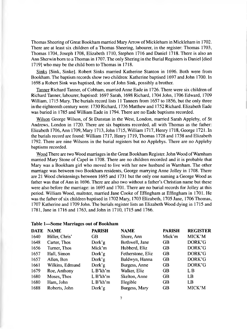Thomas Sheering of Great Bookham married Mary Arrow of Mickleham in Mickleham in 1702. There are at least six children of a Thomas Sheering, labourer, in the register: Thomas 1703, Thomas 1704, Joseph 1708, Elizabeth 1710, Stephen 1716 and Daniel 1718. There is also an Ann Sherwin bom to a Thomas in 1707. The only Shering in the Burial Registers is Daniel [died 1719] who may be the child born to Thomas in 1718.

Sinks [Sink, Sinke], Robert Sinks married Katherine Stanton in 1696. Both were from Bookham. The baptism records show two children: Katherine baptised 1697 and John 1700. In 1698 a Robert Sink was baptised, the son of John Sink, possibly a brother.

Tanner Richard Tanner, of Cobham, married Anne Eade in 1726. There were six children of Richard Tanner, labourer, baptised: 1697 Sarah, 1698 Richard, 1704 John, 1706 Edward, 1709 William, 1715 Mary. The burials record lists 11 Tanners from 1657 to 1856, but the only three in the eighteenth century were: 1730 Richard, 1736 Matthew and 1752 Richard. Elizabeth Eade was buried in 1785 and William Eade in 1794. There are no Eade baptisms recorded.

Wilson George Wilson, of St Dunstan in the West, London, married Sarah Appleby, of St Andrews, London in 1720. There are six baptisms recorded, all with Thomas as the father: Elizabeth 1706,Ann 1709, Mary 1713, John 1715,William 1717, Henry 1718, George 1721.In the burials record are found: William 1717, Henry 1719, Thomas 1728 and 1738 and Elizabeth 1792. There are nine Wilsons in the burial registers but no Applebys. There are no Appleby baptisms recorded.

Wood There are two Wood marriages in the Great Bookham Register. John Wood of Wamham married Mary Stone of Capel in 1708. There are no children recorded and it is probable that Mary was a Bookham girl who moved to live with her new husband in Wamham. The other marriage was between two Bookham residents, George marrying Anne Jolley in 1708. There are 21 Wood christenings between 1695 and 1731 but the only one naming a George Wood as father was that of Ann in 1696. There are also two without a father's Christian name but these were also before the marriage: in 1695 and 1701. There are no burial records for Jolley at this period. William Wood, maltster, married Jane Cooke of Effingham at Effingham in 1701. He was the father of six children baptised in 1702 Mary, 1703 Elizabeth, 1705 Jane, 1706 Thomas, 1707 Katherine and 1709 John. The burials register lists an Elizabeth Wood dying in 1715 and 1781, Jane in 1716 and 1763, and John in 1710, 1715 and 1766.

|  |  |  |  |  |  |  |  | Table 1—Some Marriages out of Bookham |  |
|--|--|--|--|--|--|--|--|---------------------------------------|--|
|--|--|--|--|--|--|--|--|---------------------------------------|--|

| <b>DATE</b> | <b>NAME</b>     | <b>PARISH</b> | <b>NAME</b>       | <b>PARISH</b> | <b>REGISTER</b> |
|-------------|-----------------|---------------|-------------------|---------------|-----------------|
| 1640        | Hiller, Chris'  | <b>GB</b>     | Shore, Ann        | Mick'm        | MICK'M          |
| 1648        | Carter, Thos    | Dork'g        | Bothwell, Jane    | GB            | DORK'G          |
| 1656        | Turner, Thos    | Mick'm        | Hubberd, Eliz     | <b>GB</b>     | DORK'G          |
| 1657        | Hall, Simon     | Dork'g        | Fetherstone, Eliz | <b>GB</b>     | DORK'G          |
| 1657        | Allen, Ben      | Dork'g        | Baldwyn, Hanna    | <b>GB</b>     | DORK'G          |
| 1661        | Wilkins, Edmund | Dork'g        | Burgess, Anne     | <b>GB</b>     | DORK'G          |
| 1679        | Roe, Anthony    | $L B'$ kh'm   | Walker, Eliz      | <b>GB</b>     | L B             |
| 1680        | Moses, Thos     | $L B'$ kh'm   | Skelton, Anne     | <b>GB</b>     | LB              |
| 1680        | Ham, John       | $L B'$ kh'm   | Illegible         | <b>GB</b>     | LB              |
| 1688        | Roberts, John   | Dork'g        | Burgess, Mary     | <b>GB</b>     | MICK'M          |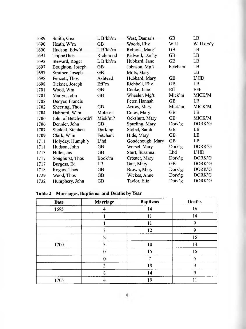| 1689 | Smith, Geo          | $L B'$ kh'm | West, Damaris    | <b>GB</b> | LB         |
|------|---------------------|-------------|------------------|-----------|------------|
| 1690 | Heath, W'm          | <b>GB</b>   | Woods, Eliz      | WH        | W. H.ors'y |
| 1690 | Hudson, Edw'd       | $L B'$ kh'm | Roberts, Marg'   | GB        | LB         |
| 1691 | <b>TrippeThos</b>   | Richmond    | Kidwell, Dor'ty  | <b>GB</b> | LB.        |
| 1692 | Steward, Roger      | $L B'$ kh'm | Hubbard, Jane    | <b>GB</b> | LB         |
| 1697 | Boughton, Joseph    | <b>GB</b>   | Johnson, Mg't    | Fetcham   | LB         |
| 1697 | Smither, Joseph     | <b>GB</b>   | Mills, Mary      |           | LB         |
| 1698 | Fencott, Thos       | Ashtead     | Hubbard, Mary    | GB        | L'HD       |
| 1698 | Tickner, Joseph     | Eff'm       | Richbell, Eliz   | <b>GB</b> | LB         |
| 1701 | Wood, Wm            | <b>GB</b>   | Cooke, Jane      | Eff       | <b>EFF</b> |
| 1701 | Martyr, John        | <b>GB</b>   | Wheeler, Mg't    | Mick'm    | MICK'M     |
| 1702 | Denyer, Francis     |             | Peter, Hannah    | <b>GB</b> | LB         |
| 1702 | Sheering, Thos      | <b>GB</b>   | Arrow, Mary      | Mick'm    | MICK'M     |
| 1704 | Habbord, W'm        | Molesea     | Coles, Mary      | <b>GB</b> | LB         |
| 1706 | John of Betchworth? | Mick'm?     | Ockshutt, Mary   | <b>GB</b> | MICK'M     |
| 1706 | Dennier, John       | <b>GB</b>   | Spurling, Mary   | Dork'g    | DORK'G     |
| 1707 | Steddal, Stephen    | Dorking     | Stobel, Sarah    | GB        | LB.        |
| 1709 | Clark, W'm          | Fetcham     | Hide, Mary       | <b>GB</b> | LB         |
| 1711 | Holyday, Humph'y    | L'hd        | Goodenough, Mary | <b>GB</b> | LB         |
| 1711 | Hudson, John        | <b>GB</b>   | Worsel, Mary     | Dork'g    | DORK'G     |
| 1713 | Hiller, Jas         | <b>GB</b>   | Sturt, Susanna   | Lhd       | L'HD       |
| 1717 | Songhurst, Thos     | Book'm      | Croater, Mary    | Dork'g    | DORK'G     |
| 1717 | Burgess, Ed         | LB          | Batt, Mary       | <b>GB</b> | DORK'G     |
| 1718 | Rogers, Thos        | GB          | Brown, Mary      | Dork'g    | DORK'G     |
| 1729 | Wood, Thos          | <b>GB</b>   | Wickes, Anne     | Dork'g    | DORK'G     |
| 1732 | Humphery, John      | GB          | Taylor, Eliz     | Dork'g    | DORK'G     |

## **Table 2—Marriages, Baptisms and Deaths by Year**

| <b>Date</b> | Marriage       | <b>Baptisms</b> | <b>Deaths</b> |
|-------------|----------------|-----------------|---------------|
| 1695        |                | 14              | 16            |
|             |                | 11              | 14            |
|             |                | 11              | 9             |
|             | 3              | 12              | 9             |
|             | $\overline{2}$ |                 | 15            |
| 1700        | 3              | 10              | 14            |
|             | 0              | 15              | 15            |
|             |                | 7               | 5             |
|             | 3              | 19              | 9             |
|             | 8              | 14              | 9             |
| 1705        | 4              | 19              | 11            |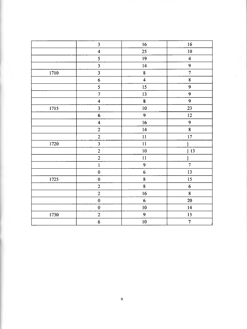|      | 3                       | 16                      | $16$                    |
|------|-------------------------|-------------------------|-------------------------|
|      | $\overline{\mathbf{4}}$ | 25                      | $10\,$                  |
|      | 5                       | 19                      | $\overline{\mathbf{4}}$ |
|      | $\overline{\mathbf{3}}$ | 14                      | 9                       |
| 1710 | $\overline{\mathbf{3}}$ | $\bf 8$                 | $\overline{7}$          |
|      | $\boldsymbol{6}$        | $\overline{\mathbf{4}}$ | $\bf 8$                 |
|      | 5                       | 15                      | 9                       |
|      | $\overline{7}$          | 13                      | 9                       |
|      | $\overline{\mathbf{4}}$ | $\bf{8}$                | 9                       |
| 1715 | $\overline{\mathbf{3}}$ | 10                      | 23                      |
|      | $\boldsymbol{6}$        | $\overline{9}$          | $12 \,$                 |
|      | $\overline{\mathbf{4}}$ | 16                      | 9                       |
|      | $\overline{2}$          | 14                      | 8                       |
|      | $\boldsymbol{2}$        | $\mathbf{11}$           | $17\,$                  |
| 1720 | $\overline{\mathbf{3}}$ | $11\,$                  | $\}$                    |
|      | $\overline{c}$          | 10                      | ${}^{3}$                |
|      | $\overline{2}$          | 11                      | }                       |
|      | $\mathbf{1}$            | $\boldsymbol{9}$        | $\overline{7}$          |
|      | $\mathbf 0$             | $\boldsymbol{6}$        | 13                      |
| 1725 | $\bf{0}$                | 8                       | 15                      |
|      | $\overline{2}$          | $\bf 8$                 | $\boldsymbol{6}$        |
|      | $\overline{c}$          | 16                      | $\bf 8$                 |
|      | $\pmb{0}$               | $\boldsymbol{6}$        | 20                      |
|      | $\boldsymbol{0}$        | 10                      | 14                      |
| 1730 | $\overline{2}$          | 9                       | 15                      |
|      | $\boldsymbol{6}$        | 10                      | $\overline{7}$          |
|      |                         |                         |                         |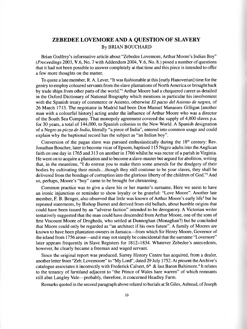## <span id="page-11-0"></span>**ZEBEDEE LOVEMORE AND A QUESTION OF SLAVERY** By BRIAN BOUCHARD

Brian Godfrey's informative article about "Zebedee Lovemore, Arthur Moore's Indian Boy" *(Proceedings* 2003, V.6, No. 7 with Addendum 2004, V.6, No. 8.) posed a number of questions that it had not been possible to answer completely at that time and this piece is intended to offer a few more thoughts on the matter.

To quote a late member, R. A. Lever, "It was fashionable at this [early Hanoverian] time for the gentry to employ coloured servants from the slave plantations of North America or brought back by trade ships from other parts of the world."1 Arthur Moore had a chequered career as detailed in the Oxford Dictionary of National Biography which mentions in particular his involvement with the Spanish treaty of commerce or Asiento, otherwise *El pacto del Asiento de negros,* of 26 March 1713. The negotiator in Madrid had been Don Manuel Manasses Gilligan [another man with a colourful history] acting under the influence of Arthur Moore who was a director of the South Sea Company. That monopoly agreement covered the supply of 4,800 slaves p.a. for 30 years, a total of 144,000, to Spanish colonies in the New World. A Spanish designation of a Negro as *picza de India,* literally "a piece of India", entered into common usage and could explain why the baptismal record has the subject as "an Indian boy".

Conversion of the pagan slave was pursued enthusiastically during the  $18<sup>th</sup>$  century: Rev. Jonathan Boucher, later to become vicar of Epsom, baptised 115 Negro adults into the Anglican faith on one day in 1765 and 313 on another in 1766 whilst he was rector of a parish in Virginia. He went on to acquire a plantation and to become a slave-master but argued for abolition, writing that, in the meantime, "I do entreat you to make them some amends for the drudgery of their bodies by cultivating their minds...though they still continue to be your slaves, they shall be delivered from the bondage of corruption into the glorious liberty of the children of God."2 And so, perhaps, Moore's "boy" came to be brought for christening.

Common practice was to give a slave his or her master's surname. Here we seem to have an ironic injunction or reminder to show loyalty or be grateful: "Love Moore". Another late member, F. B. Benger, also observed that little was known of Arthur Moore's early life<sup>3</sup> but he repeated statements, by Bishop Burnet and derived from old ballads, about humble origins that could have been issued by an "adverse faction" intended to be derogatory. A Victorian writer tentatively suggested that the man could have descended from Arthur Moore, one of the sons of first Viscount Moore of Drogheda, who settled at Dunnoghan (Monaghan?) but he concluded that Moore could only be regarded as "an architect if his own future". A family of Moores are known to have been plantation owners in Jamaica—from which Sir Henry Moore, Governor of the island from 1756 arose—and it may not simply be coincidental that the surname "Lovemore" later appears frequently in Slave Registers for 1812-1834. Whatever Zebedee's antecedents, however, he clearly became a freeman and waged servant.

Since the original report was produced, Surrey History Centre has acquired, from a dealer, another letter from "Zeb. Lovemoore" to "My Lord", dated 29 July 1752. At present the Archive's catalogue associates it incorrectly with Frederick Calvert,  $6<sup>th</sup>$  & last Baron Baltimore.<sup>4</sup> It relates to the tenancy of farmland adjacent to "the Prince of Wales hare warren" of which remnants still abut Langley Vale—probably, therefore, it concerned Headley Farm.

Remarks quoted in the second paragraph above related to burials at St Giles, Ashtead, of Joseph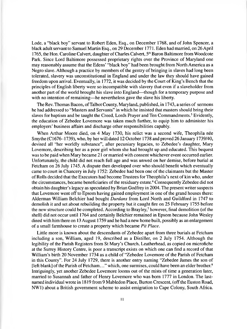Lode, a "black boy" servant to Robert Eden, Esq., on December 1768, and of John Spencer, a black adult servant to Samuel Martin Esq., on 29 December 1771. Eden had married, on 26 April 1765, the Hon. Caroline Calvert, daughter of Charles Calvert, 5<sup>th</sup> Baron Baltimore from Woodcote Park. Since Lord Baltimore possessed proprietary rights over the Province of Maryland one may reasonably assume that the Edens' "black boy" had been brought from North America as a Negro slave. Although a practice by members of the gentry of bringing in slaves had long been tolerated, slavery was unconstitutional in England and under the law they should have gained freedom upon arrival. Eventually, in 1772, it was decided by the Court of King's Bench that the principles of English liberty were so incompatible with slavery that even if a slaveholder from another part of the world brought his slave into England—though for a temporary purpose and with no intention of remaining—he nevertheless gave the slave his liberty.

The Rev. Thomas Bacon, of Talbot County, Maryland, published, in 1743, a series of sermons he had addressed to "Masters and Servants" in which he insisted that masters should bring their slaves for baptism and be taught the Creed, Lords Prayer and Ten Commandments.<sup>5</sup> Evidently, the education of Zebedee Lovemore was taken much further, to equip him to administer his employers' business affairs and discharge other responsibilities capably.

When Arthur Moore died, on 4 May 1730, his relict was a second wife, Theophila nee Smythe (C1676–1739), who, by her will dated 12 October 1738 and proved 26 January 1739/40, devised all "her worldly substance", after pecuniary legacies, to Zebedee's daughter, Mary Lovemore, describing her as a poor girl whom she had brought up and educated. This bequest was to be paid when Mary became 21 or married with consent whichever event occurred earlier. Unfortunately, the child did not reach full age and was unwed on her demise, before burial at Fetcham on 26 July 1745. A dispute then developed over who should benefit which eventually came to court in Chancery in July 1752: Zebedee had been one of the claimants but the Master of Rolls decided that the Executors had become Trustees for Theophila's next of kin who, under the circumstances, became beneficiaries of the residuary estate.<sup>6</sup> Consequently Zebedee did not obtain his daughter's legacy as speculated by Brian Godfrey in 2004. The present writer suspects that Lovemore went off to Epsom having gained employment in one of the grand houses there: Alderman William Belchier had bought *Durdans* from Lord North and Guildford in 1747 to demolish it and set about rebuilding the property but it caught fire on 25 February 1755 before the new structure could be completed. According to Brayley,<sup>7</sup> however, final demolition (of the shell) did not occur until 1764 and certainly Belchier remained in Epsom because John Wesley dined with him there on 13 August 1759 and he had a new home built, possibly as an enlargement of a small farmhouse to create a property which became *Pit Place.*

Little more is known about the descendants of Zebedee apart from three burials at Fetcham including a son, William, aged 19, described as a Distiller, on 2 July 1754. Although the legibility of the Parish Registers from St Mary's Church, Leatherhead, as copied on microfiche at the Surrey History Centre, is poor a transcript exists on which one can find a record of that William's birth 20 November 1734 as a child of "Zebedee Lovemore of the Parish of Fetcham in this County". For 24 July 1729, there is another entry naming "Zebedee James the son of [left blank] of the Parish of Fetcham..." which, one surmises, could have been an elder brother.<sup>8</sup> Intriguingly, yet another Zebedee Lovemore looms out of the mists of time a generation later, married to Susannah and father of Henry Lovemore who was born 1777 in London. The lastnamed individual wrote in 1819 from 9 Mabledon Place, Burton Crescent, (off the Euston Road, NW1) about a British government scheme to assist emigration to Cape Colony, South Africa.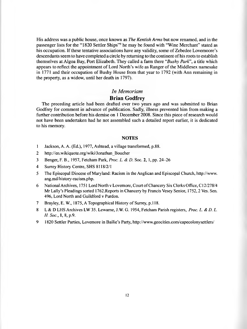His address was a public house, once known as *The Kentish Arms* but now renamed, and in the passenger lists for the "1820 Settler Ships"<sup>9</sup> he may be found with "Wine Merchant" stated as his occupation. If these tentative associations have any validity, some of Zebedee Lovemoore's descendants seem to have completed a circle by returning to the continent of his roots to establish themselves at Algoa Bay, Port Elizabeth. They called a farm there "*Bushy Park*", a title which appears to reflect the appointment of Lord North's wife as Ranger of the Middlesex namesake in 1771 and their occupation of Bushy House from that year to 1792 (with Ann remaining in the property, as a widow, until her death in 1797).

#### *In Memoriam*

#### **Brian Godfrey**

The preceding article had been drafted over two years ago and was submitted to Brian Godfrey for comment in advance of publication. Sadly, illness prevented him from making a further contribution before his demise on 1 December 2008. Since this piece of research would not have been undertaken had he not assembled such a detailed report earlier, it is dedicated to his memory.

#### **NOTES**

- 1 Jackson, A. A. (Ed.), 1977, Ashtead, a village transformed, p.88.
- 2 [http://en.wikiquote.org/wiki/Jonathan\\_Boucher](http://en.wikiquote.org/wiki/Jonathan_Boucher)
- 3 Benger, F. B., 1957, Fetcham Park, *Proc. L. & D.* Soc. 2, 1, pp. 24-26
- 4 Surrey History Centre, SHS 8118/2/1
- 5 The Episcopal Diocese of Maryland: Racism in the Anglican and Episcopal Church, <http://www>. ang.md/history-racism.php.
- 6 National Archives, 1751 Lord North v Lovemore, Court of Chancery Six Clerks Office, C12/278/4 Mr Lally's Pleadings sorted 1762.Reports in Chancery by Francis Vesey Senior, 1752,2 Ves. Sen. 496, Lord North and Guildford v Purdon.
- 7 Brayley, E. W., 1875, A Topographical History of Surrey, p. 118.
- 8 L & D LHS Archives LW 35. Lewame, J.W. G. 1954, Fetcham Parish registers, *Proc. L. & D. L. H. Soc.,* 1, 8, p.9.
- 9 1820 Settler Parties, Lovemore in Bailie's Party,<http://www.geocities.com/capecolonysettlers/>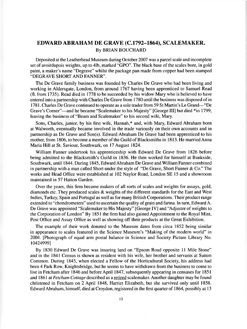## **EDWARD ABRAHAM DE GRAVE (C.1792-1864), SCALEMAKER.** By BRIAN BOUCHARD

Deposited at the Leatherhead Museum during October 2007 was a parcel scale and incomplete set of avoirdupois weights, up to 41b, marked "GPO". The black base of the scales bore, in gold paint, a maker's name "Degrave" whilst the package pan made from copper had been stamped "DEGRAVE SHORT AND FANNER".

The De Grave family business was founded by Charles De Grave who had been living and working in Aldersgate, London, from around 1767 having been apprenticed to Samuel Read (fl. from 1735). Read died in 1778 to be succeeded by his widow Mary who is believed to have entered into a partnership with Charles De Grave from 1780 until the business was disposed of in 1781. Charles De Grave continued to operate as a sole trader from 59 St Martin's Le Grand—"De Grave's Corner"—and he became "Scalemaker to his Majesty" [George III] but died \*in 1799, leaving the business of "Beam and Scalemaker" to his second wife, Mary.

Sons, Charles, junior, by his first wife, Hannah,\* and, with Mary, Edward Abraham born at Walworth, eventually became involved in the trade variously on their own accounts and in partnership as De Grave and Son(s). Edward Abraham De Grave had been apprenticed to his mother, from 1806, to become a member of the Guild of Blacksmiths in 1813. He married Anna Maria Hill at St. Saviour, Southwark, on 17 August 1824.

William Fanner undertook his apprenticeship with Edward De Grave from 1826 before being admitted to the Blacksmith's Guild in 1836. He then worked for himself at Bankside, Southwark, until 1844. During 1845, Edward Abraham De Grave and William Fanner combined in partnership with a man called Short under the style of "De Grave, Short Fanner  $& Co$ ." The works and Head Office were established at 102 Naylor Road, London SE 15 and a showroom maintained in 57 Hatton Garden.

Over the years, this firm became makers of all sorts of scales and weights for assays, gold, diamonds etc. They produced scales & weights of the different standards for the East and West Indies, Turkey, Spain and Portugal as well as for many British Corporations. Their product range extended to "chondrometers" used to ascertain the quality of grain and farina. In turn, Edward A. De Grave was appointed "Scalemaker to His Majesty" [George IV] and "Adjuster of weights to the Corporation of London" By 1851 the firm had also gained Appointment to the Royal Mint, Post Office and Assay Office as well as showing off their products at the Great Exhibition.

The example of their work donated to the Museum dates from circa 1852 being similar in appearance to scales featured in the Science Museum's "Making of the modern world" in 2004. [Photograph of equal arm postal balance in Science and Society Picture Library No. 10424999]

By 1830 Edward De Grave was insuring land on "Epsom Road opposite 11 Mile Stone" and in the 1841 Census is shown as resident with his wife, her brother and servants at Sutton Common. During 1845, when elected a Fellow of the Horticultural Society, his address had been 4 Park Row, Knightsbridge, but he seems to have withdrawn from the business to come to live in Fetcham after 1846 and before April 1847, subsequently appearing in censuses for 1851 and 1861 at *Fetcham Cottage* described as a retired scalemaker. Another daughter may be found christened in Fetcham on 2 April 1848, Harriet Elizabeth, but she survived only until 1858. Edward Abraham, himself, died at Croydon, registered in the first quarter of 1864, possibly at 13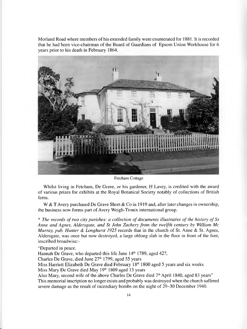Morland Road where members of his extended family were enumerated for 1881. It is recorded that he had been vice-chairman of the Board of Guardians of Epsom Union Workhouse for 6 years prior to his death in February 1864.



Fetcham Cottage

Whilst living in Fetcham, De Grave, or his gardener, H Lavey, is credited with the award of various prizes for exhibits at the Royal Botanical Society notably of collections of British ferns.

W & T Avery purchased De Grave Short & Co in 1919 and, after later changes in ownership, the business now forms part of Avery Weigh-Tronix international group.

\* The records of two city parishes: a collection of documents illustrative of the history of Ss *Anne and Agnes, Aldersgate, and St John Zachery from the twelfth century by William Me Murray, pub. Hunter & Longhurst 1925* records that in the church of St. Anne & St. Agnes, Aldersgate, was once but now destroyed, a large oblong slab in the floor in front of the font, inscribed broadwise:-

"Departed in peace.

Hannah De Grave, who departed this life June 14<sup>th</sup> 1789, aged 42?,

Charles De Grave, died June 27<sup>th</sup> 1799, aged 55 years

Miss Harriett Elizabeth De Grave died February 18<sup>th</sup> 1800 aged 5 years and six weeks Miss Mary De Grave died May 19<sup>th</sup> 1809 aged 13 years

Also Mary, second wife of the above Charles De Grave died  $7<sup>th</sup>$  April 1840, aged 83 years" This memorial inscription no longer exists and probably was destroyed when the church suffered severe damage as the result of incendiary bombs on the night of 29-30 December 1940.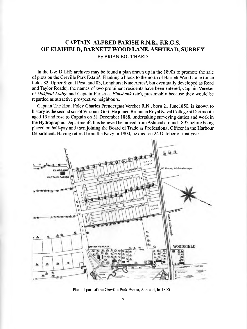## **CAPTAIN ALFRED PARISH R.N.R., F.R.G.S. OF ELMFIELD, BARNETT WOOD LANE, ASHTEAD, SURREY** By BRIAN BOUCHARD

In the L & D LHS archives may be found a plan drawn up in the  $1890s$  to promote the sale of plots on the Greville Park Estate<sup>1</sup>. Flanking a block to the north of Barnett Wood Lane (once fields 82, Upper Signal Post, and 83, Longhurst Nine Acres<sup>2</sup>, but eventually developed as Read and Taylor Roads), the names of two prominent residents have been entered, Captain Vereker of *Oakfield Lodge* and Captain Parish at *Elmsbank* (sic), presumably because they would be regarded as attractive prospective neighbours.

Captain The Hon. Foley Charles Prendergast Vereker R.N., born 21 June 1850, is known to history as the second son of Viscount Gort. He joined Britannia Royal Naval College at Dartmouth aged 13 and rose to Captain on 31 December 1888, undertaking surveying duties and work in the Hydrographic Department<sup>3</sup>. It is believed he moved from Ashtead around 1895 before being placed on half-pay and then joining the Board of Trade as Professional Officer in the Harbour Department. Having retired from the Navy in 1900, he died on 24 October of that year.



Plan of part of the Greville Park Estate, Ashtead, in 1890.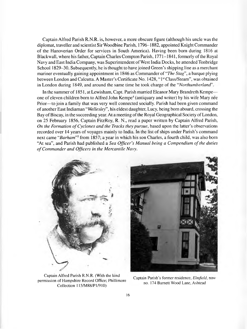Captain Alfred Parish R.N.R. is, however, a more obscure figure (although his uncle was the diplomat, traveller and scientist Sir Woodbine Parish, 1796-1882, appointed Knight Commander of the Hanoverian Order for services in South America). Having been born during 1816 at Blackwall, where his father, Captain Charles Compton Parish, 1771-1841, formerly of the Royal Navy and East India Company, was Superintendent of West India Docks, he attended Tonbridge School 1829-30. Subsequently, he is thought to have joined Green's shipping line as a merchant mariner eventually gaining appointment in 1846 as Commander of "*The Stag*", a barque plying between London and Calcutta. A Master's Certificate No. 1428, "1<sup>st</sup> Class/Steam", was obtained in London during 1849, and around the same time he took charge of the "*Northumberland*

In the summer of 1851, at Lewisham, Capt. Parish married Eleanor Mary Brandreth Kempe one of eleven children born to Alfred John Kempe<sup>4</sup> (antiquary and writer) by his wife Mary nee Prior—to join a family that was very well connected socially. Parish had been given command of another East Indiaman " *Wellesley*", his eldest daughter, Lucy, being born aboard, crossing the Bay of Biscay, in the succeeding year. At a meeting of the Royal Geographical Society of London, on 25 February 1856, Captain FitzRoy, R. N., read a paper written by Captain Alfred Parish, *On the Formation of Cyclones and the Tracks they pursue, based upon the latter's observations* recorded over 14 years of voyages mainly to India. In the list of ships under Parish's command next came "*Barham*"5 from 1857; a year in which his son Charles, a fourth child, was also born "At sea", and Parish had published a *Sea Officer's Manual being a Compendium of the duties of Commander and Officers in the Mercantile Navy.* 



Captain Alfred Parish R.N.R. (With the kind *captain Parish's former residence, <i>Elmfield*, now permission of Hampshire Record Office; Philhmore " . . , , , . . . , ^ no. 174 Barnett Wood Lane, Ashtead Collection 115/M 88/P1/910)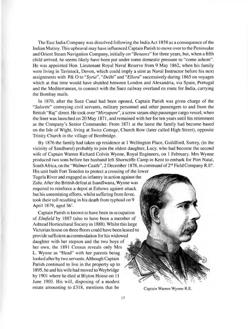The East India Company was dissolved following the India Act 1858 as a consequence of the Indian Mutiny. This upheaval may have influenced Captain Parish to move over to the Peninsular and Orient Steam Navigation Company, initially on "*Benares*" for three years, but, when a fifth child arrived, he seems likely have been put under some domestic pressure to "come ashore". He was appointed Hon. Lieutenant Royal Naval Reserve from 9 May 1862, when his family were living in Tavistock, Devon, which could imply a stint as Naval Instructor before his next assignments with P& O to "*Syria*", *"Delhi"* and "*Ellora*" successively during 1865 on voyages which at that time would have shuttled between London and Alexandria, via Spain, Portugal and the Mediterranean, to connect with the Suez railway overland en route for India, carrying the Bombay mails.

In 1870, after the Suez Canal had been opened, Captain Parish was given charge of the "*Salsette*" conveying civil servants, military personnel and other passengers to and from the British "Raj" direct. He took over "*Mirzapore*", a screw steam-ship passenger cargo vessel, when the liner was launched on 20 May 1871, and remained with her for ten years until his retirement as the Company's Senior Commander. From 1871 at the latest the family had become based on the Isle of Wight, living at Swiss *Cottage,* Church Row (later called High Street), opposite Trinity Church in the village of Bembridge.

By 1876 the family had taken up residence at 1 Wellington Place, Guildford, Surrey, (in the vicinity of Sandhurst) probably to join the eldest daughter, Lucy, who had become the second wife of Captain Warren Richard Colvin Wynne, Royal Engineers, on 1 February. Mrs Wynne produced two sons before her husband left Shomciffe Camp in Kent to embark for Port Natal, South Africa, on the "*Walmer Castle*", 2 December 1878, in command of 2<sup>nd</sup> Field Company R.E<sup>6</sup>.

His unit built Fort Tenedos to protect a crossing of the lower Tugela River and engaged as infantry in action against the Zulu. After the British defeat at Isandlwana, Wynne was required to reinforce a depot at Eshowe against attack but his unremitting efforts, whilst suffering from fever, took their toll resulting in his death from typhoid on 9 April 1879, aged 36<sup>7</sup>.

Captain Parish is known to have been in occupation of *Elmfield* by 1887 (also to have been a member of Ashtead Horticultural Society in 1888). Whilst this large Victorian house on three floors could have been leased to provide sufficient accommodation for his widowed daughter with her stepson and the two boys of her own, the 1891 Census reveals only Mrs L. Wynne as "Head" with her parents being looked after by two servants. Although Captain Parish continued to live in the property up to 1895, he and his wife had moved to Weybridge by 1901 where he died at Blyton House on 11 June 1903. His will, disposing of a modest estate amounting to £318, mentions that he Captain Warren Wynne R.E.

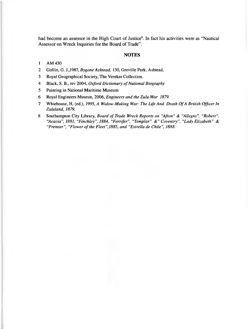had become an assessor in the High Court of Justice<sup>8</sup>. In fact his activities were as "Nautical Assessor on Wreck Inquiries for the Board of Trade".

#### **NOTES**

#### 1 AM 430

- 2 Gollin, G. J.,1987, *Bygone Ashtead,* 130, Greville Park, Ashtead.
- 3 Royal Geographical Society, The Vereker Collection.
- 4 Black, S. B., rev 2004, *Oxford Dictionary of National Biography*
- 5 Painting in National Maritime Museum
- 6 Royal Engineers Museun, 2006, *Engineers and the Zulu War 1879.*
- 7 Whiehouse, H, (ed.), 1995, A *Widow-Making War: The Life And Death Of A British Officer In Zululand, 1879.*
- 8 Southampton City Library, *Board of Trade Wreck Reports on "Afton" & "Allegro", "Robert", "Acacia", 1881, "Finchley", 1884, "Ferrifer", "Templar" &" Coventry", "Lady Elizabeth" & "Premier", "Flower of the Fleet",1885, and "Estrella de Chile", 1888.*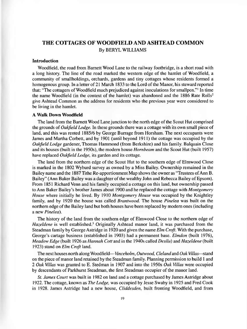## <span id="page-20-0"></span>**THE COTTAGES OF WOODFIELD AND ASHTEAD COMMON** By BERYL WILLIAMS

#### **Introduction**

Woodfield, the road from Barnett Wood Lane to the railway footbridge, is a short road with a long history. The line of the road marked the western edge of the hamlet of Woodfield, a community of smallholdings, orchards, gardens and tiny cottages whose residents formed a homogenous group. In a letter of 21 March 1833 to the Lord of the Manor, his steward reported that: "The cottagers of Woodfield much prejudiced against inoculations for smallpox."1 In time the name Woodfield (in the context of the hamlet) was abandoned and the 1886 Rate Rolls<sup>2</sup> give Ashtead Common as the address for residents who the previous year were considered to be living in the hamlet.

#### A **Walk Down Woodfield**

The land from the Barnett Wood Lane junction to the north edge of the Scout Hut comprised the grounds of *Oakfield Lodge.* In these grounds there was a cottage with its own small piece of land, and this was rented 1885/6 by George Burrage from Horsham. The next occupants were James and Martha Corbett, and by 1901 (until beyond 1911) the cottage was occupied by the *Oakfield Lodge* gardener, Thomas Hammond (from Berkshire) and his family. Balquain Close and its houses (built in the 1950s), the modem house *Hornbeam* and the Scout Hut (built 1957) have replaced *Oakfield Lodge,* its garden and its cottage.

The land from the northern edge of the Scout Hut to the southern edge of Elmwood Close is marked in the 1802 Wyburd survey as owned by a Miss Bailey. Ownership remained in the Bailey name and the 1887 Tithe Re-apportionment Map shows the owner as "Trustees of Ann B. Bailey" (Ann Baker Bailey was a daughter of the wealthy John and Rebecca Bailey of Epsom). From 1851 Richard Venn and his family occupied a cottage on this land, but ownership passed to Ann Baker Bailey's brother James about 1900 and he replaced the cottage with *Montgomery House* where initially he lived. By 1910 *Montgomery House* was occupied by the Knightley family, and by 1920 the house was called *Brantwood.* The house *Pinelea* was built on the northern edge of the Bailey land but both houses have been replaced by modern ones (including a new *Pinelea).*

The history of the land from the southern edge of Elmwood Close to the northern edge of *Hazeldene* is well established.3 Originally Ashtead manor land, it was purchased from the Steadman family by George Astridge in 1920 and given the name *Elm Croft.* With the purchase, George's cartage business (established in 1903) had a permanent base. *Elmdon* (built 1976), *Meadow Edge* (built 1926 as *Hamah Cott* and in the 1940s called *Desilu)* and *Hazeldene* (built 1923) stand on *Elm Croft* land.

The next houses north along Woodfield—*Vinceholm, Outwood, Cleland* and *Oak Villas*—stand on the piece of manor land retained by the Steadman family. Planning permission to build 1 and 2 *Oak Villas* was granted to E. Stedman in 1907 and into the 1950s *Oak Villas* were occupied by descendants of Parkhurst Steadman, the first Steadman occupier of the manor land.

*St. James Court* was built in 1982 on land and a cottage purchased by James Astridge about 1922. The cottage, known as *The Lodge,* was occupied by Jesse Swaby in 1925 and Fred Cook in 1928. James Astridge had a new house, *Cliddesden,* built fronting Woodfield, and from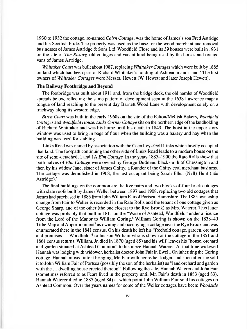1930 to 1932 the cottage, re-named *Cairn Cottage,* was the home of James's son Fred Astridge and his Scottish bride. The property was used as the base for the wood merchant and removal businesses of James Astridge & Sons Ltd. Woodfield Close and its 39 houses were built in 1931 on the site of *The Rosary,* old cottages and vacant land being used by the horses and orange vans of James Astridge.

*Whittaker Court* was built about 1987, replacing *Whittaker Cottages* which were built by 1885 on land which had been part of Richard Whittaker's holding of Ashtead manor land.4 The first owners of *Whittaker Cottages* were Messrs. Hewett (W. Hewett and later Joseph Hewett).

#### **The Railway Footbridge and Beyond**

The footbridge was built about 1911 and, from the bridge deck, the old hamlet of Woodfield spreads below, reflecting the same pattern of development seen in the 1638 Lawrence map: a tongue of land reaching to the present day Barnett Wood Lane with development solely on a trackway along its western edge.

*Birch Court* was built in the early 1960s on the site of the Felton/Mellish Bakery, *Woodfield Cottages* and *Woodfield House. Links Comer Cottage* sits on the northern edge of the landholding of Richard Whittaker and was his home until his death in 1849. The hoist in the upper story window was used to bring in bags of flour when the building was a bakery and hay when the building was used for stabling.

Links Road was named by association with the Caen Leys Golf Links which briefly occupied that land. The footpath continuing the other side of Links Road leads to a modem house on the site of semi-detached, 1 and 1A *Elm Cottage.* In the years 1885-1900 the Rate Rolls show that both halves of *Elm Cottage* were owned by George Dudman, blacksmith of Chessington and then by his widow Jane, sister of James Chitty, a founder of the Chitty coal merchant business. The cottage was demolished in 1968, the last occupant being Sarah Ellen (Nell) Hunt (née Astridge).5

The final buildings on the common are the five pairs and two blocks-of-four brick cottages with slate roofs built by James Weller between 1897 and 1908, replacing two old cottages that James had purchased in 1885 from John William Fair of Portsea, Hampshire. The 1885 ownership change from Fair to Weller is recorded in the Rate Rolls and the tenant of one cottage given as George Sharp, and of the other (the one closest to the Rye Brook) as Mrs. Waterer. This latter cottage was probably that built in 1811 on the "Waste of Ashtead, Woodfield" under a licence from the Lord of the Manor to William Goring.<sup>6</sup> William Goring is shown on the 1838-40 Tithe Map and Apportionment<sup>7</sup> as owning and occupying a cottage near the Rye Brook and was enumerated there in the 1841 census. On his death he left his "freehold cottage, garden, orchard and premises ... Woodfield"<sup>8</sup> to his son William who is shown at the cottage in the 1851 and 1861 census returns. William, Jr. died in 1870 (aged 85) and his will<sup>9</sup> leaves his "house, orchard and garden situated at Ashtead Common" to his niece Hannah Waterer. At that time widowed Hannah was lodging with widower, herbalist doctor, John Fair in Ewell. On inheriting the Goring cottage, Hannah moved into it bringing, Mr. Fair with her as her lodger, and soon after she sold it to John William Fair of Portsea (possibly the son of the herbalist) as "land orchard and garden with the ... dwelling house erected thereon". Following the sale, Hannah Waterer and John Fair (sometimes referred to as Fear) lived in the property until Mr. Fair's death in 1883 (aged 83). Hannah Waterer died in 1885 (aged 84) at which point John William Fair sold his cottages on Ashtead Common. Over the years names for some of the Weller cottages have been: *Woodside*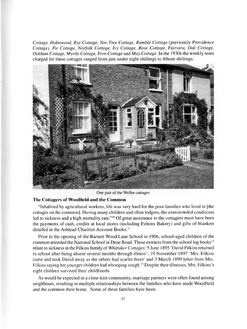*Cottage, Holmwood, Rye Cottage, Yew Tree Cottage, Rumble Cottage* (previously *Providence Cottage), Fir Cottage, Norfolk Cottage, Ivy Cottage, Rose Cottage, Fairview, Oak Cottage, Ockham Cottage, Myrtle Cottage, Fern Cottage* and *May Cottage.* In the 1930s the weekly rents charged for these cottages ranged from just under eight shillings to fifteen shillings.



One pair of the Weller cottages

#### **The Cottagers of Woodfield and the Common**

"Inhabited by agricultural workers, life was very hard for the poor families who lived in [the cottages on the common]. Having many children and often lodgers, the overcrowded conditions led to sickness and a high mortality rate."<sup>10</sup> Of great assistance to the cottagers must have been the payments of cash, credits at local stores (including Feltons Bakery) and gifts of blankets detailed in the Ashtead Charities Account Books.<sup>11</sup>

Prior to the opening of the Barnett Wood Lane School in 1906, school-aged children of the common attended the National School in Dene Road. These extracts from the school log books<sup>12</sup> relate to sickness in the Filkins family of *Whittaker Cottages:* 5 June 1895 'David Filkins returned to school after being absent several months through illness'; 19 November 1897 'Mrs. Filkins came and took David away as the others had scarlet fever' and 3 March 1899 letter from Mrs. Filkins saying her younger children had whooping cough.<sup>13</sup> Despite their illnesses, Mrs. Filkins's eight children survived their childhoods.

As would be expected in a close-knit community, marriage partners were often found among neighbours, resulting in multiple relationships between the families who have made Woodfield and the common their home. Some of these families have been: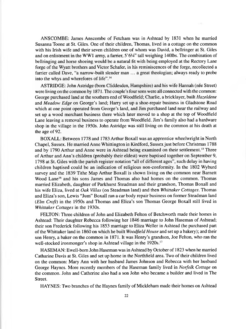ANSCOMBE: James Anscombe of Fetcham was in Ashtead by 1831 when he married Susanna Toone at St. Giles. One of their children, Thomas, lived in a cottage on the common with his Irish wife and their seven children one of whom was David, a bellringer at St. Giles and on enlistment in the WW1 army, a farrier,  $5'6/4''$  tall weighing 140lbs. The combination of bellringing and horse shoeing would be a natural fit with being employed at the Rectory Lane forge of the Wyatt brothers and Victor Schafer, in his reminiscences of the forge, recollected a farrier called Dave, "a narrow-built slender man ... a great theologian; always ready to probe into the whys and wherefores of life".14

ASTRIDGE: John Astridge (bom Cliddesden, Hampshire) and his wife Hannah (nee Street) were living on the common by 1871. The couple's four sons were all connected with the common: George purchased land at the southern end of Woodfield; Charlie, a bricklayer, built *Hazeldene* and *Meadow Edge* on George's land; Harry set up a shoe-repair business in Gladstone Road which at one point operated from George's land, and Jim purchased land near the railway and set up a wood merchant business there which later moved to a shop at the top of Woodfield Lane leaving a removal business to operate from Woodfield. Jim's family also had a hardware shop in the village in the 1950s. John Astridge was still living on the common at his death at the age of 92.

BOXALL: Between 1778 and 1783 Arthur Boxall was an apprentice wheelwright in North Chapel, Sussex. He married Anne Whittington in Kirdford, Sussex just before Christmas 1788 and by 1790 Arthur and Anne were in Ashtead being examined on their settlement.<sup>15</sup> Three of Arthur and Ann's children (probably their eldest) were baptised together on September 9, 1798 at St. Giles with the parish register notation "all of different ages", such delay in having children baptised could be an indication of religious non-conformity. In the 1802 Wyburd survey and the 1839 Tithe Map Arthur Boxall is shown living on the common near Barnett Wood Lane<sup>16</sup> and his sons James and Thomas also had homes on the common. Thomas married Elizabeth, daughter of Parkhurst Steadman and their grandson, Thomas Boxall and his wife Eliza, lived at *Oak Villas* (on Steadman land) and then *Whittaker Cottages.* Thomas and Eliza's son, Lewis "Jum" Boxall ran a car body repair business on former Steadman land *(Elm Croft)* in the 1950s and Thomas and Eliza's son Thomas George Boxall still lived in *Whittaker Cottages* in the 1930s.

FELTON: Three children of John and Elizabeth Felton of Betchworth made their homes in Ashtead: Their daughter Rebecca following her 1846 marriage to John Haseman of Ashtead; their son Frederick following his 1853 marriage to Eliza Weller in Ashtead (he purchased part of the Whittaker land in 1860 on which he built *Woodfield House* and set up a bakery); and their son Henry, a baker on the common in 1871. It was Henry's grandson, Joe Felton, who ran the well-stocked ironmonger's shop in Ashtead village in the 1920s.<sup>17</sup>

HASEMAN: Ewell-born John Haseman was in Ashtead by October of 1823 when he married Catharine Davis at St. Giles and set up home in the Northfield area. Two of their children lived on the common: Mary Ann with her husband James Johnson and Rebecca with her husband George Haynes. More recently members of the Haseman family lived in *Norfolk Cottage* on the common. John and Catherine also had a son John who became a builder and lived in The Street.

HAYNES: Two branches of the Haynes family of Mickleham made their homes on Ashtead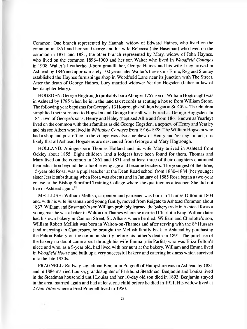Common: One branch represented by Hannah, widow of Edward Haines, who lived on the common in 1851 and her son George and his wife Rebecca (nee Haseman) who lived on the common in 1871 and 1881, the other branch represented by Mary, widow of John Haynes, who lived on the common 1896-1900 and her son Walter who lived in *Woodfield Cottages* in 1908. Walter's Leatherhead-born grandfather, George Haines and his wife Lucy arrived in Ashtead by 1846 and approximately 100 years later Walter's three sons Ernie, Reg and Stanley established the Haynes furnishings shop in Woodfield Lane near its junction with The Street. After the death of George Haines, Lucy married widower Yearley Hogsden (father-in-law of her daughter Mary).

HOGSDEN: George Hogtrough (probably bom Abinger 1757 son of William Hogtrough) was in Ashtead by 1785 when he is in the land tax records as renting a house from William Stone. The following year baptisms for George's 13 Hogtrough children began at St. Giles. The children simplified their surname to Hogsden and George himself was buried as George Hoggsden. In 1841 two of George's sons, Henry and Haley (baptised Allie and from 1861 known as Yearley) lived on the common with their families as did George Hogsden, a nephew of Henry and Yearley and his son Albert who lived in *Whittaker Cottages* from 1916-1928. The William Hogsden who had a shop and post office in the village was also a nephew of Henry and Yearley. In fact, it is likely that all Ashtead Hogsdens are descended from George and Mary Hogtrough.

HOLLAND: Abinger-bom Thomas Holland and his wife Mary arrived in Ashtead from Ockley about 1855. Eight children (and a lodger) have been found for them. Thomas and Mary lived on the common in 1861 and 1871 and at least three of their daughters continued their education beyond the school leaving age and became teachers. The youngest of the three, 15-year old Rosa, was a pupil teacher at the Dean Road school from 1880-1884 (her younger sister Jessie substituting when Rosa was absent) and in January of 1885 Rosa began a two-year course at the Bishop Stortford Training College where she qualified as a teacher. She did not live in Ashtead again.<sup>18</sup>

MELLLISH: William Mellish, carpenter and gardener was born in Thames Ditton in 1804 and, with his wife Susannah and young family, moved from Reigate to Ashtead Common about 1837. William and Susannah's son William probably learned the bakery trade in Ashtead for as a young man he was a baker in Walton on Thames where he married Charlotte King. William later had his own bakery in Cannon Street, St. Albans where he died. William and Charlotte's son, William Robert Mellish was born in Walton-on-Thames and after serving with the 8<sup>th</sup> Hussars (and marrying) in Canterbury, he brought the Mellish family back to Ashtead by purchasing the Felton Bakery on the common shortly before his father's death in 1891. The purchase of the bakery no doubt came about through his wife Emma (née Parfitt) who was Eliza Felton's niece and who, as a 9-year old, had lived with her aunt at the bakery. William and Emma lived in *Woodfield House* and built up a very successful bakery and catering business which survived into the late 1930s.

PRAGNELL: Railway-signalman Benjamin Pragnell of Hampshire was in Ashtead by 1881 and in 1884 married Louisa, granddaughter of Parkhurst Steadman. Benjamin and Louisa lived in the Steadman household until Louisa and her 10-day old son died in 1893. Benjamin stayed in the area, married again and had at least one child before he died in 1911. His widow lived at 2 *Oak Villas* where a Fred Pragnell lived in 1950.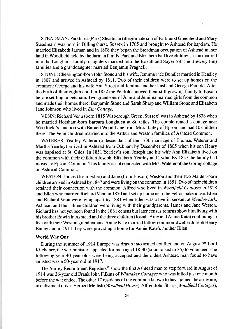STEADMAN: Parkhurst (Park) Steadman (illegitimate son of Parkhurst Greenfield and Mary Steadman) was bom in Billingshurst, Sussex in 1765 and brought to Ashtead for baptism. He married Elizabeth Jarman and in 1808 they began the Steadman occupation of Ashtead manor land in Woodfield held by the Jarman family. Park and Elizabeth had five children, a son married into the Longhurst family, daughters married into the Boxall and Sayer (of The Brewery Inn) families and a granddaughter married Benjamin Pragnell.

STONE: Chessington-bom John Stone and his wife, Jemima (nee Bundle) married in Headley in 1807 and arrived in Ashtead by 1811. Two of their children were to set up homes on the common: George and his wife Ann Street and Jemima and her husband George Penfold. After the birth of their eighth child in 1852 the Penfolds moved their still growing family to Epsom before settling in Fetcham. Two grandsons of John and Jemima married girls from the common and made their homes there: Benjamin Stone and Sarah Sharp and William Stone and Elizabeth Jane Johnson who lived in *Elm Cottage.*

VENN: Richard Venn (born 1815 Wisborough Green, Sussex) was in Ashtead by 1838 when he married Horsham-born Barbara Longhurst at St. Giles. The couple rented a cottage near Woodfield's junction with Barnett Wood Lane from Miss Bailey of Epsom and had 10 children there. The Venn children married into the Arthur and Weston families of Ashtead Common.

WATERER: Yearley Waterer (a descendant of the 1736 marriage of Thomas Waterer and Martha Yearley) arrived in Ashtead from Ockham by December of 1805 when his son Henry was baptised at St. Giles. In 1851 Yearley's son, Joseph and his wife Ann Elizabeth lived on the common with their children Joseph, Elizabeth, Yearley and Lydia. By 1857 the family had moved to Epsom Common. This family is not connected with Mrs. Waterer of the Goring cottage on Ashtead Common.

WESTON: James (from Esher) and Jane (from Epsom) Weston and their two Malden-born children arrived in Ashtead by 1847 and were living on the common in 1851. Two of their children retained their connection with the common: Alfred who lived in *Woodfield Cottages* in 1928 and Ellen who married Richard Venn in 1870 and set up home near the Felton bakehouse. Ellen and Richard Venn were living apart by 1881 when Ellen was a live-in servant at *Meadowlark,* Ashtead and their three children were living with their grandparents, James and Jane Weston. Richard has not yet been found in the 1881 census but later census returns show him living with his brother Edwin in Ashtead and the three children (Josiah, Amy and Annie Kate) continuing to live with their Weston grandparents. Annie Kate married fellow common-dweller Joseph Henry Bailey and in 1911 they were providing a home for Annie Kate's mother Ellen.

#### **World War One**

During the summer of 1914 Europe was drawn into armed conflict and on August  $7<sup>th</sup>$  Lord Kitchener, the war minister, appealed for men aged 18-30 (soon raised to 35) to volunteer. The following year 40-year olds were being accepted and the oldest Ashtead man found to have enlisted was a 50-year old in 1917.

The Surrey Recruitment Registers<sup>19</sup> show the first Ashtead man to step forward in August of 1914 was 26-year old Frank John Filkins of *Whittaker Cottages* who was killed just one month before the war ended. The other 17 residents of the common known to have joined the army are, in enlistment order: Herbert Mellish (*Woodfield House),* Alfred John Sharp (*Woodfield Cottages),*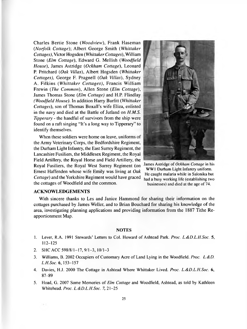Charles Bertie Stone (*Woodview*), Frank Haseman *(Norfolk Cottage)-,* Albert George Smith *(Whittaker Cottages),* Victor Hogsden *(Whittaker Cottages),* William Stone *(Elm Cottage),* Edward G. Mellish *(Woodfield House),* James Astridge *(Ockham Cottage),* Leonard P. Pritchard *(Oak Villas),* Albert Hogsden *(Whittaker Cottages),* George F. Pragnell *(Oak Villas),* Sydney A. Filkins *( Whittaker Cottages),* Francis William Frewin *(The Common),* Allen Stone *(Elm Cottage),* James Thomas Stone *(Elm Cottage)* and H.P Flindlay *(Woodfield House).* In addition Harry Burfitt *(Whittaker Cottages),* son of Thomas Boxall's wife Eliza, enlisted in the navy and died at the Battle of Jutland on *H.M.S. Tipperary* - the handful of survivors from the ship were found on a raft singing "It's a long way to Tipperary" to identify themselves.

When these soldiers were home on leave, uniforms of the Army Veterinary Corps, the Bedfordshire Regiment, the Durham Light Infantry, the East Surrey Regiment, the Lancashire Fusiliers, the Middlesex Regiment, the Royal Field Artillery, the Royal Horse and Field Artillery, the Royal Fusiliers, the Royal West Surrey Regiment (on Ernest Haffenden whose wife Emily was living at *Oak Cottage)* and the Yorkshire Regiment would have graced the cottages of Woodfield and the common.



James Astridge of *Ockham Cottage* in his WW1 Durham Light Infantry uniform. He caught malaria while in Salonika but had a busy working life (establishing two businesses) and died at the age of 74.

#### **ACKNOWLEDGEMENTS**

With sincere thanks to Les and Janice Hammond for sharing their information on the cottages purchased by James Weller, and to Brian Bouchard for sharing his knowledge of the area, investigating planning applications and providing information from the 1887 Tithe Reapportionment Map.

#### **NOTES**

- 1. Lever, R.A. 1991 Stewards' Letters to Col. Howard of Ashtead Park. *Proc. L.&D.L.H.Soc.* 5, 112-125
- 2. SHC ACC 598/8/1-17, 9/1-3, 10/1-3
- 3. Williams, B. 2002 Occupiers of Customary Acre of Land Lying in the Woodfield. *Proc. L.&D. L.H.Soc. 6,* 153-157
- 4. Davies, H.J. 2000 The Cottage in Ashtead Where Whittaker Lived. *Proc. L.&D.L.H.Soc.* 6, 87-89
- 5. Hoad, G. 2007 Some Memories of *Elm Cottage* and Woodfield, Ashtead, as told by Kathleen Whitehead. *Proc. L.&D.L.H.Soc. 7,* 21-25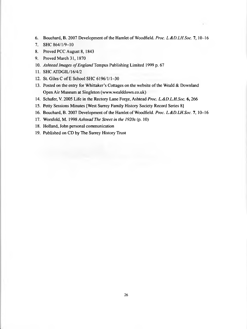- 6. Bouchard, B. 2007 Development of the Hamlet of Woodfield. *Proc. L.&D.LH.Soc.* 7, 10-16
- 7. SHC 864/1/9-10
- 8. Proved PCC August 8, 1843
- 9. Proved March 31,1870
- 10. *Ashtead Images of England* Tempus Publishing Limited 1999 p. 67
- 11. SHC ATDGIL/16/4/2
- 12. St. Giles C of E School SHC 6196/1/1-30
- 13. Posted on the entry for Whittaker's Cottages on the website of the Weald & Downland Open Air Museum at Singleton ([www.wealddown.co.uk\)](http://www.wealddown.co.uk)
- 14. Schafer, V. 2005 Life in the Rectory Lane Forge, Ashtead *Proc. L.&D.L.H.Soc.* 6,266
- 15. Petty Sessions Minutes [West Surrey Family History Society Record Series 8]
- 16. Bouchard, B. 2007 Development of the Hamlet of Woodfield. *Proc. L&D.LH.Soc.* 7, 10-16
- 17. Worsfold, M. 1998 *Ashtead The Street in the 1920s* (p. 10)
- 18. Holland, John personal communication
- 19. Published on CD by The Surrey History Trust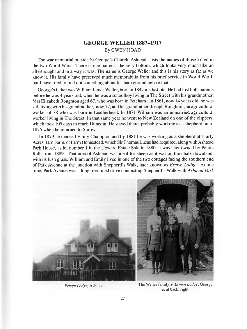## <span id="page-28-0"></span>**GEORGE WELLER 1887-1917** By GWEN HOAD

The war memorial outside St George's Church, Ashtead, lists the names of those killed in the two World Wars. There is one name at the very bottom, which looks very much like an afterthought and in a way it was. The name is George Weller and this is his story as far as we know it. His family have preserved much memorabilia from his brief service in World War I, but I have tried to find out something about his background before that.

George's father was William James Weller, bom in 1847 in Oxshott. He had lost both parents before he was 4 years old, when he was a schoolboy living in The Street with his grandmother, Mrs Elizabeth Boughton aged 67, who was born in Fetcham. In 1861, now 14 years old, he was still living with his grandmother, now 77, and his grandfather, Joseph Boughton, an agricultural worker of 78 who was bom in Leatherhead. In 1871 William was an unmarried agricultural worker living in The Street. In that same year he went to New Zealand on one of the clippers, which took 105 days to reach Dunedin. He stayed there, probably working as a shepherd, until 1875 when he returned to Surrey.

In 1879 he married Emily Champion and by 1881 he was working as a shepherd at Thirty Acres Bam Farm, or Farm Homestead, which Sir Thomas Lucas had acquired, along with Ashtead Park House, as lot number 1 in the Howard Estate Sale in 1880. It was later owned by Pantia Ralli from 1889. That area of Ashtead was ideal for sheep as it was on the chalk downland, with its lush grass. William and Emily lived in one of the two cottages facing the southern end of Park Avenue at the junction with Shepherd's Walk, later known as *Ermyn Lodge.* At one time, Park Avenue was a long tree-lined drive connecting Shepherd's Walk with *Ashtead Park*



*Ermyn Lodge*, Ashtead The Weller family at *Ermyn Lodge*; George is at back, right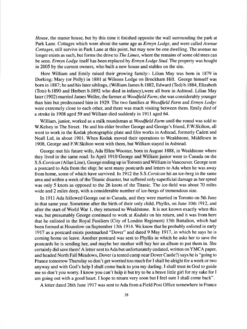*House,* the manor house, but by this time it finished opposite the wall surrounding the park at Park Lane. Cottages which were about the same age as *Ermyn Lodge,* and were called *Avenue Cottages,* still survive in Park Lane at this point, but may now be one dwelling. The avenue no longer exists as such, but forms the drive to *The Limes,* where the remains of some old trees can be seen. *Ermyn Lodge* itself has been replaced by *Ermyn Lodge Stud.* The property was bought in 2005 by the current owners, who built a new house and stables on the site.

Here William and Emily raised their growing family:- Lilian May was born in 1879 in Dorking; Mary (or Polly) in 1881 at Wilsons Lodge on Brockham Hill. George himself was born in 1887; he and his later siblings, (William James b. 1882, Edward (Ted) b. 1884, Elizabeth (Tots) b.1890 and Herbert b.1892 who died in infancy),were all bom in Ashtead. Lilian May later (1902) married James Weller, the farmer at *Woodfield Farm-,* she was considerably younger than him but predeceased him in 1929. The two families at *Woodfield Farm* and *Ermyn Lodge* were extremely close to each other, and there was much visiting between them. Emily died of a stroke in 1908 aged 59 and William died suddenly in 1911 aged 64.

William, junior, worked as a milk roundsman at *Woodfield Farm* until the round was sold to W.Kelsey in The Street. He and his elder brother George and George's friend, EW.Skilton, all went to work in the Kodak photographic plate and film works in Ashtead, formerly Cadett and Neall Ltd, in about 1901. When Kodak moved their operations to Wealdstone, Middlesex in 1908, George and F.W.Skilton went with them, but William stayed in Ashtead.

George met his future wife, Ada Ellen Wooster, bom in August 1888, in Wealdstone where they lived in the same road. In April 1910 George and William junior went to Canada on the S.S*.Corsican* (Allan Line), George ending up in Toronto and William in Vancouver. George sent a postcard to Ada from the ship; he sent many postcards and letters to Ada when he was away from home, some of which have survived. In 1912 the S.S *.Corsican* hit an ice-berg in the same area and within a week of the Titanic disaster, but suffered only superficial damage as her speed was only 5 knots as opposed to the 26 knots of the Titanic. The ice-field was about 70 miles wide and 2 miles deep, with a considerable number of ice-bergs of tremendous size.

In 1911 Ada followed George out to Canada, and they were married in Toronto on 5th June in that same year. Sometime after the birth of their only child, Phyllis, on June 10th 1912, and after the start of World War 1, they returned to Wealdstone. It is not known exactly when this was, but presumably George continued to work at *Kodaks* on his return, and it was from here that he enlisted in the Royal Fusiliers (City of London Regiment) 13th Battalion, which had been formed at Hounslow on September 13th 1914. We know that he probably enlisted in early 1917 as a postcard exists postmarked "Dover" and dated 9 May 1917, in which he says he is coming home on leave. Another postcard was sent to Phyllis in which he asks her to save the postcards he is sending her, and maybe her mother will buy her an album to put them in. She certainly did save them! A letter sent to Ada but unfortunately undated, written on YMCA paper, and headed North Fall Meadows, Dover (a tented camp near Dover Castle?) says he is "going to France tomorrow Thursday so don't get worried too much for I shall be alright for a week or two anyway and with God's help I shall come back to you my darling. I shall trust in God to guide me so don't you worry. I know you can't help it but try to be a brave little girl for my sake for I am going out with a good heart. I hope to return very soon but I feel sure I shall come back".

A letter dated 26th June 1917 was sent to Ada from a Field Post Office somewhere in France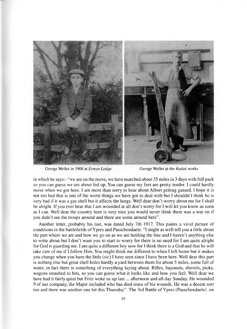

George Weller in 1908 at *Ermyn Lodge* George Weller at the *Kodak* works

in which he says:- "we are on the move, we have marched about 35 miles in 3 days with full pack so you can guess we are about fed up. You can guess my feet are pretty tender. I could hardly move when we got here. I am more than sorry to hear about Albert getting gassed. I hope it is not too bad that is one of the worst things we have got to deal with but I shouldn't think he is very bad if it was a gas shell but it affects the lungs. Well dear don't worry about me for I shall be alright. If you ever hear that I am wounded at all don't worry for I will let you know as soon as I can. Well dear the country here is very nice you would never think there was a war on if you didn't see the troops around and there are some around here".

Another letter, probably his last, was dated July 7th 1917. This paints a vivid picture of conditions in the battlefields of Ypres and Passchendaele. "I might as well tell you a little about the part where we are and how we go on as we are holding the line and I haven't anything else to write about but I don't want you to start to worry for there is no need for I am quite alright for God is guarding me. I am quite a different boy now for I think there is a God and that he will take care of me if I follow Him. You might think me different to when I left home but it makes you change when you have the little *(sic)* I have seen since I have been here. Well dear this part is nothing else but great shell holes hardly a yard between them for about 5 miles, some full of water, in fact there is something of everything laying about. Rifles, bayonets, shovels, picks, wagons smashed to bits, so you can guess what it looks like and how you feel. Well dear we have had it fairly quiet but Fritz woke us up last ... afternoon and all day Sunday. He wounded 9 of our company, the Major included who has died since of his wounds. He was a decent sort too and there was another one hit this Thursday". The 3rd Battle of Ypres (Passchendaele) on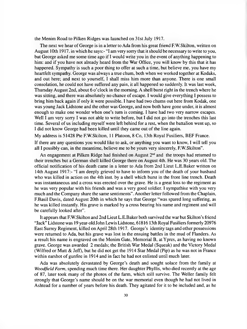the Menim Road to Pilken Ridges was launched on 31st July 1917.

The next we hear of George is in a letter to Ada from his great friend F.W.Skilton, written on August 10th 1917. in which he says:- "I am very sorry that it should be necessary to write to you, but George asked me some time ago if I would write you in the event of anything happening to him: and if you have not already heard from the War Office, you will know by this that it has happened. Sympathy is such a poor thing to offer at such a time, but believe me, you have my heartfelt sympathy. George was always a true chum, both when we worked together at Kodaks, and out here; and next to yourself, I shall miss him more than anyone. There is one small consolation, he could not have suffered any pain, it all happened so suddenly. It was last week, Thursday August 2nd, about 6 o'clock in the morning. A shell burst right in the trench where he was sitting, and there was absolutely no chance of escape. I would give everything I possess to bring him back again if only it were possible. I have had two chums out here from Kodak, one was young Jack Lidstone and the other was George, and now both have gone under, it is almost enough to make one wonder when one's turn is coming. I have had two very narrow escapes. Well I am very sorry I was not able to write before, but I did not go into the trenches this last time. Several of us including myself were left behind for a rest, when the battalion went up, so I did not know George had been killed until they came out of the line again.

My address is 51428 Pte F.W.Skilton, 11 Platoon, 8 Co, 13th Royal Fusiliers, BEF France.

If there are any questions you would like to ask, or anything you want to know, I will tell you all I possibly can, in the meantime, believe me to be yours very sincerely, F.W.Skilton".

An engagement at Pilken Ridge had finished on August  $2<sup>nd</sup>$  and the troops had returned to their trenches but a German shell killed George there on August 4th. He was 30 years old. The official notification of his death came in a letter to Ada from 2nd Lieut L.E.Baker written on 14th August 1917:- "I am deeply grieved to have to inform you of the death of your husband who was killed in action on the 4th inst. by a shell which burst in the front line trench. Death was instantaneous and a cross was erected over the grave. He is a great loss to the regiment as he was very popular with his friends and was a very good soldier. I sympathise with you very much and the Company share the same sentiments". Another letter followed from the Chaplain, F.Basil Davis, dated August 20th in which he says that George "was spared long suffering, as he was killed instantly. His grave is marked by a cross bearing his name and regiment and will be carefully looked after".

It appears that F.W.Skilton and 2nd Lieut L.E.Baker both survived the war but Skilton's friend "Jack" Lidstone was 19 year-old John Lewis Lidstone, 61816 13th Royal Fusiliers formerly 20976 East Surrey Regiment, killed on April 28th 1917. George's identity tags and other possessions were returned to Ada, but his grave was lost in the ensuing battles in the mud of Flanders. As a result his name is engraved on the Menim Gate, Memorial B, at Ypres, as having no known grave. George was awarded 2 medals; the British War Medal (Squeak) and the Victory Medal (Wilfred or Mutt & Jeff), but he did not get the 1914 Star Medal (Pip) as he was not in France within earshot of gunfire in 1914 and in fact he had not enlisted until much later.

Ada was absolutely devastated by George's death and sought solace from the family at *Woodfield Farm,* spending much time there. Her daughter Phyllis, who died recently at the age of 87, later took many of the photos of the farm, which still survive. The Weller family felt strongly that George's name should be on the war memorial even though he had not lived in Ashtead for a number of years before his death. They agitated for it to be included and, as he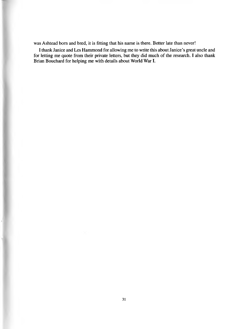was Ashtead bom and bred, it is fitting that his name is there. Better late than never!

I thank Janice and Les Hammond for allowing me to write this about Janice's great uncle and for letting me quote from their private letters, but they did much of the research. I also thank Brian Bouchard for helping me with details about World War I.